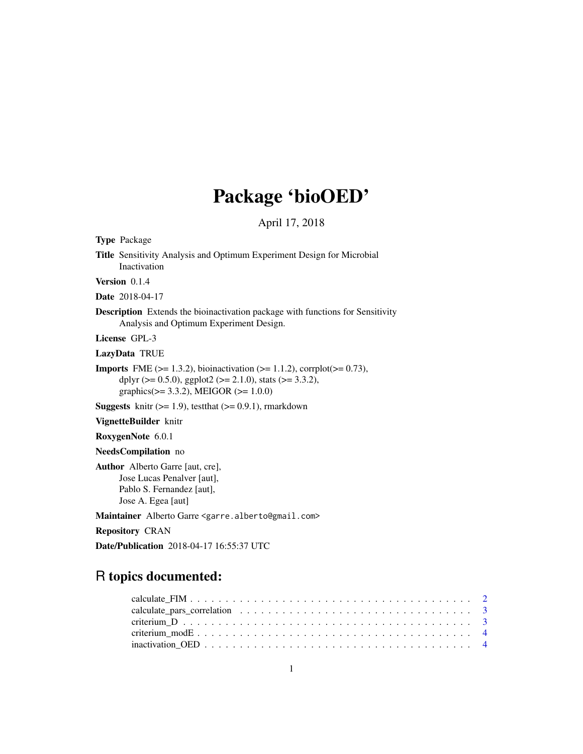# Package 'bioOED'

# April 17, 2018

<span id="page-0-0"></span>Type Package

Title Sensitivity Analysis and Optimum Experiment Design for Microbial Inactivation

Version 0.1.4

Date 2018-04-17

Description Extends the bioinactivation package with functions for Sensitivity Analysis and Optimum Experiment Design.

License GPL-3

LazyData TRUE

**Imports** FME ( $>= 1.3.2$ ), bioinactivation ( $>= 1.1.2$ ), corrplot( $>= 0.73$ ), dplyr ( $> = 0.5.0$ ), ggplot2 ( $> = 2.1.0$ ), stats ( $> = 3.3.2$ ), graphics( $>= 3.3.2$ ), MEIGOR ( $>= 1.0.0$ )

**Suggests** knitr  $(>= 1.9)$ , test that  $(>= 0.9.1)$ , rmarkdown

VignetteBuilder knitr

RoxygenNote 6.0.1

NeedsCompilation no

Author Alberto Garre [aut, cre], Jose Lucas Penalver [aut], Pablo S. Fernandez [aut], Jose A. Egea [aut]

Maintainer Alberto Garre <garre.alberto@gmail.com>

Repository CRAN

Date/Publication 2018-04-17 16:55:37 UTC

# R topics documented: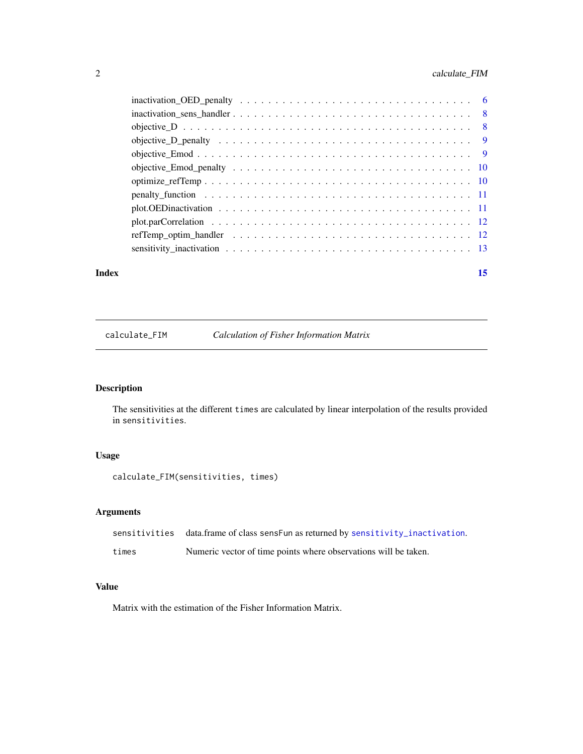# <span id="page-1-0"></span>2 calculate\_FIM

| Index |                                                                                                              | 15 |
|-------|--------------------------------------------------------------------------------------------------------------|----|
|       |                                                                                                              |    |
|       |                                                                                                              |    |
|       |                                                                                                              |    |
|       | plot. OED inactivation $\ldots \ldots \ldots \ldots \ldots \ldots \ldots \ldots \ldots \ldots \ldots \ldots$ |    |
|       |                                                                                                              |    |
|       |                                                                                                              |    |
|       |                                                                                                              |    |
|       |                                                                                                              |    |
|       |                                                                                                              |    |
|       |                                                                                                              |    |
|       |                                                                                                              |    |
|       |                                                                                                              |    |

calculate\_FIM *Calculation of Fisher Information Matrix*

# Description

The sensitivities at the different times are calculated by linear interpolation of the results provided in sensitivities.

### Usage

```
calculate_FIM(sensitivities, times)
```
### Arguments

|       | sensitivities data.frame of class sensFun as returned by sensitivity_inactivation. |
|-------|------------------------------------------------------------------------------------|
| times | Numeric vector of time points where observations will be taken.                    |

# Value

Matrix with the estimation of the Fisher Information Matrix.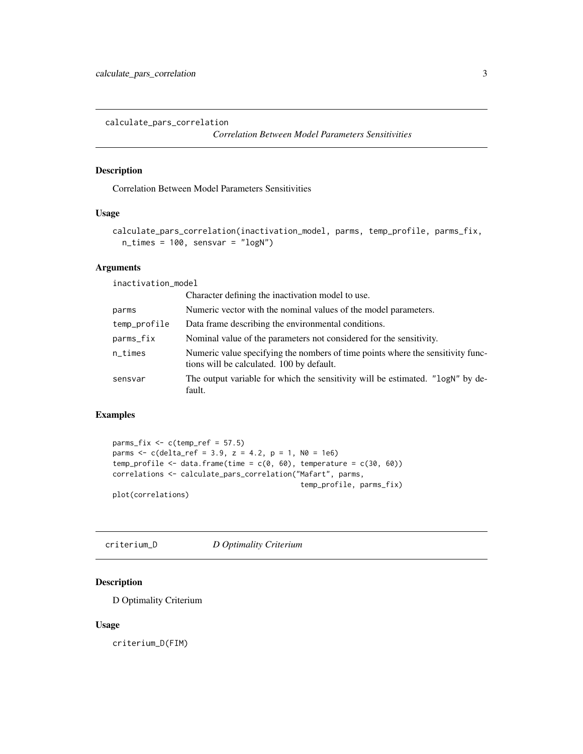<span id="page-2-0"></span>calculate\_pars\_correlation

```
Correlation Between Model Parameters Sensitivities
```
#### Description

Correlation Between Model Parameters Sensitivities

#### Usage

```
calculate_pars_correlation(inactivation_model, parms, temp_profile, parms_fix,
 n_times = 100, sensvar = "logN")
```
# Arguments

inactivation\_model

|              | Character defining the inactivation model to use.                                                                            |
|--------------|------------------------------------------------------------------------------------------------------------------------------|
| parms        | Numeric vector with the nominal values of the model parameters.                                                              |
| temp_profile | Data frame describing the environmental conditions.                                                                          |
| parms_fix    | Nominal value of the parameters not considered for the sensitivity.                                                          |
| n_times      | Numeric value specifying the nombers of time points where the sensitivity func-<br>tions will be calculated. 100 by default. |
| sensvar      | The output variable for which the sensitivity will be estimated. "logN" by de-<br>fault.                                     |

# Examples

```
params_fix \leq c(temp_ref = 57.5)parms <- c(delta_ref = 3.9, z = 4.2, p = 1, N0 = 1e6)
temp_profile <- data.frame(time = c(0, 60), temperature = c(30, 60))
correlations <- calculate_pars_correlation("Mafart", parms,
                                            temp_profile, parms_fix)
```
plot(correlations)

criterium\_D *D Optimality Criterium*

#### Description

D Optimality Criterium

#### Usage

criterium\_D(FIM)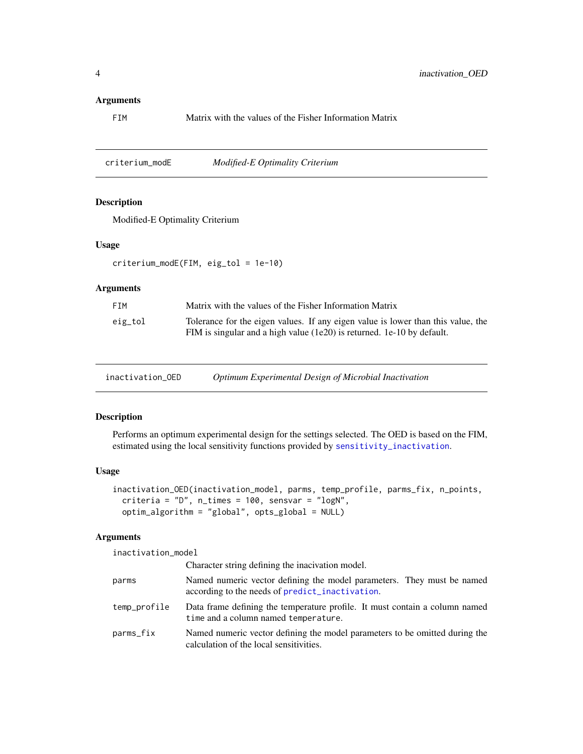#### <span id="page-3-0"></span>Arguments

FIM Matrix with the values of the Fisher Information Matrix

criterium\_modE *Modified-E Optimality Criterium*

#### Description

Modified-E Optimality Criterium

#### Usage

criterium\_modE(FIM, eig\_tol = 1e-10)

#### Arguments

| <b>FTM</b> | Matrix with the values of the Fisher Information Matrix                                                                                                    |
|------------|------------------------------------------------------------------------------------------------------------------------------------------------------------|
| eig_tol    | Tolerance for the eigen values. If any eigen value is lower than this value, the<br>FIM is singular and a high value (1e20) is returned. 1e-10 by default. |

inactivation\_OED *Optimum Experimental Design of Microbial Inactivation*

#### Description

Performs an optimum experimental design for the settings selected. The OED is based on the FIM, estimated using the local sensitivity functions provided by [sensitivity\\_inactivation](#page-12-1).

# Usage

```
inactivation_OED(inactivation_model, parms, temp_profile, parms_fix, n_points,
 criteria = "D", n_times = 100, sensvar = "logN",
 optim_algorithm = "global", opts_global = NULL)
```
#### Arguments

inactivation\_model

|              | Character string defining the inacivation model.                                                                          |
|--------------|---------------------------------------------------------------------------------------------------------------------------|
| parms        | Named numeric vector defining the model parameters. They must be named<br>according to the needs of predict_inactivation. |
| temp_profile | Data frame defining the temperature profile. It must contain a column named<br>time and a column named temperature.       |
| parms_fix    | Named numeric vector defining the model parameters to be omitted during the<br>calculation of the local sensitivities.    |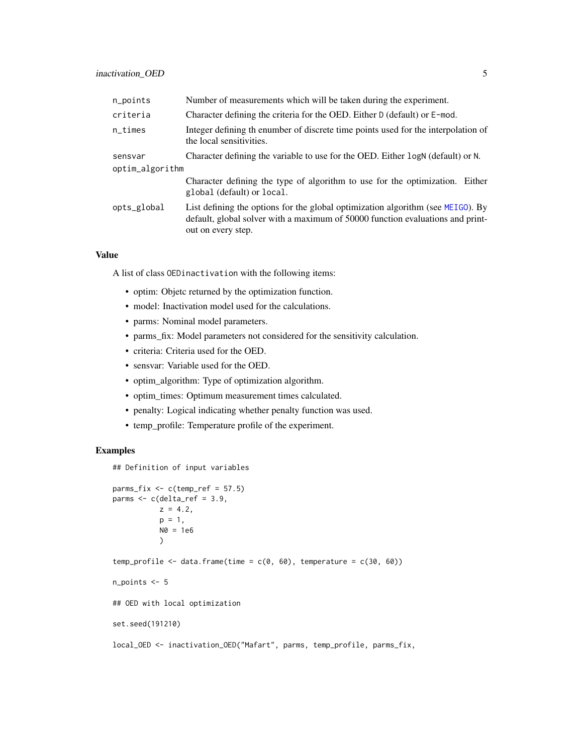<span id="page-4-0"></span>

| n_points        | Number of measurements which will be taken during the experiment.                                                                                                                       |
|-----------------|-----------------------------------------------------------------------------------------------------------------------------------------------------------------------------------------|
| criteria        | Character defining the criteria for the OED. Either D (default) or E-mod.                                                                                                               |
| $n$ _times      | Integer defining the number of discrete time points used for the interpolation of<br>the local sensitivities.                                                                           |
| sensvar         | Character defining the variable to use for the OED. Either logN (default) or N.                                                                                                         |
| optim_algorithm |                                                                                                                                                                                         |
|                 | Character defining the type of algorithm to use for the optimization. Either<br>global (default) or local.                                                                              |
| opts_global     | List defining the options for the global optimization algorithm (see MEIGO). By<br>default, global solver with a maximum of 50000 function evaluations and print-<br>out on every step. |

#### Value

A list of class OEDinactivation with the following items:

- optim: Objetc returned by the optimization function.
- model: Inactivation model used for the calculations.
- parms: Nominal model parameters.
- parms\_fix: Model parameters not considered for the sensitivity calculation.
- criteria: Criteria used for the OED.
- sensvar: Variable used for the OED.
- optim\_algorithm: Type of optimization algorithm.
- optim\_times: Optimum measurement times calculated.
- penalty: Logical indicating whether penalty function was used.
- temp\_profile: Temperature profile of the experiment.

#### Examples

## Definition of input variables

```
params_fix \leq c(temp_ref = 57.5)parms <- c(delta_ref = 3.9,
          z = 4.2,
          p = 1,
          NØ = 1e6)
temp_profile \leq data.frame(time = c(0, 60), temperature = c(30, 60))
n_points <- 5
## OED with local optimization
set.seed(191210)
local_OED <- inactivation_OED("Mafart", parms, temp_profile, parms_fix,
```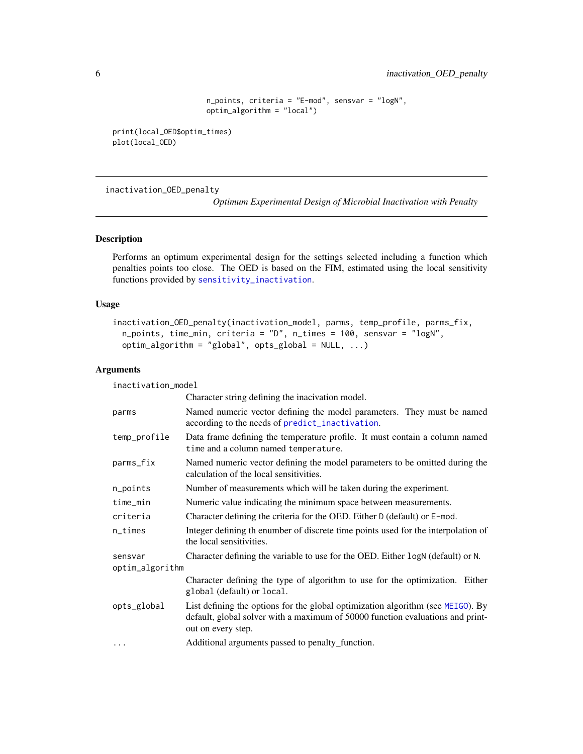```
n_points, criteria = "E-mod", sensvar = "logN",
optim_algorithm = "local")
```
<span id="page-5-0"></span>print(local\_OED\$optim\_times) plot(local\_OED)

inactivation\_OED\_penalty

*Optimum Experimental Design of Microbial Inactivation with Penalty*

#### Description

Performs an optimum experimental design for the settings selected including a function which penalties points too close. The OED is based on the FIM, estimated using the local sensitivity functions provided by [sensitivity\\_inactivation](#page-12-1).

#### Usage

```
inactivation_OED_penalty(inactivation_model, parms, temp_profile, parms_fix,
 n_points, time_min, criteria = "D", n_times = 100, sensvar = "logN",
 optim_algorithm = "global", opts_global = NULL, ...)
```
#### Arguments

inactivation\_model

|                 | Character string defining the inacivation model.                                                                                                                                        |  |
|-----------------|-----------------------------------------------------------------------------------------------------------------------------------------------------------------------------------------|--|
| parms           | Named numeric vector defining the model parameters. They must be named<br>according to the needs of predict_inactivation.                                                               |  |
| temp_profile    | Data frame defining the temperature profile. It must contain a column named<br>time and a column named temperature.                                                                     |  |
| parms_fix       | Named numeric vector defining the model parameters to be omitted during the<br>calculation of the local sensitivities.                                                                  |  |
| n_points        | Number of measurements which will be taken during the experiment.                                                                                                                       |  |
| time_min        | Numeric value indicating the minimum space between measurements.                                                                                                                        |  |
| criteria        | Character defining the criteria for the OED. Either D (default) or E-mod.                                                                                                               |  |
| n_times         | Integer defining th enumber of discrete time points used for the interpolation of<br>the local sensitivities.                                                                           |  |
| sensvar         | Character defining the variable to use for the OED. Either logN (default) or N.                                                                                                         |  |
| optim_algorithm |                                                                                                                                                                                         |  |
|                 | Character defining the type of algorithm to use for the optimization. Either<br>global (default) or local.                                                                              |  |
| opts_global     | List defining the options for the global optimization algorithm (see MEIGO). By<br>default, global solver with a maximum of 50000 function evaluations and print-<br>out on every step. |  |
| $\cdots$        | Additional arguments passed to penalty function.                                                                                                                                        |  |
|                 |                                                                                                                                                                                         |  |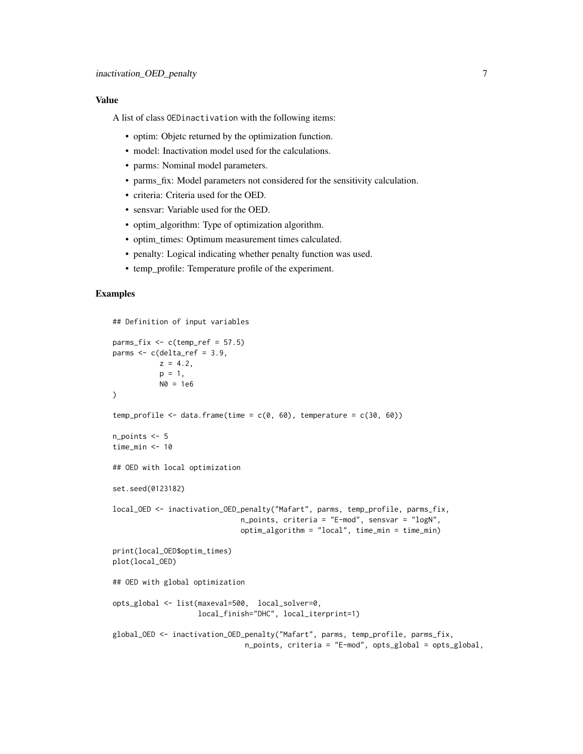#### Value

A list of class OEDinactivation with the following items:

- optim: Objetc returned by the optimization function.
- model: Inactivation model used for the calculations.
- parms: Nominal model parameters.
- parms\_fix: Model parameters not considered for the sensitivity calculation.
- criteria: Criteria used for the OED.
- sensvar: Variable used for the OED.
- optim\_algorithm: Type of optimization algorithm.
- optim\_times: Optimum measurement times calculated.
- penalty: Logical indicating whether penalty function was used.
- temp\_profile: Temperature profile of the experiment.

#### Examples

```
## Definition of input variables
parms_fix \leq c(temp_ref = 57.5)
parms \leq c(delta_ref = 3.9,
          z = 4.2,
          p = 1,
          N0 = 1e6)
temp_profile <- data.frame(time = c(0, 60), temperature = c(30, 60))
n_points <- 5
time_min <- 10
## OED with local optimization
set.seed(0123182)
local_OED <- inactivation_OED_penalty("Mafart", parms, temp_profile, parms_fix,
                              n_points, criteria = "E-mod", sensvar = "logN",
                              optim_algorithm = "local", time_min = time_min)
print(local_OED$optim_times)
plot(local_OED)
## OED with global optimization
opts_global <- list(maxeval=500, local_solver=0,
                    local_finish="DHC", local_iterprint=1)
global_OED <- inactivation_OED_penalty("Mafart", parms, temp_profile, parms_fix,
                               n_points, criteria = "E-mod", opts_global = opts_global,
```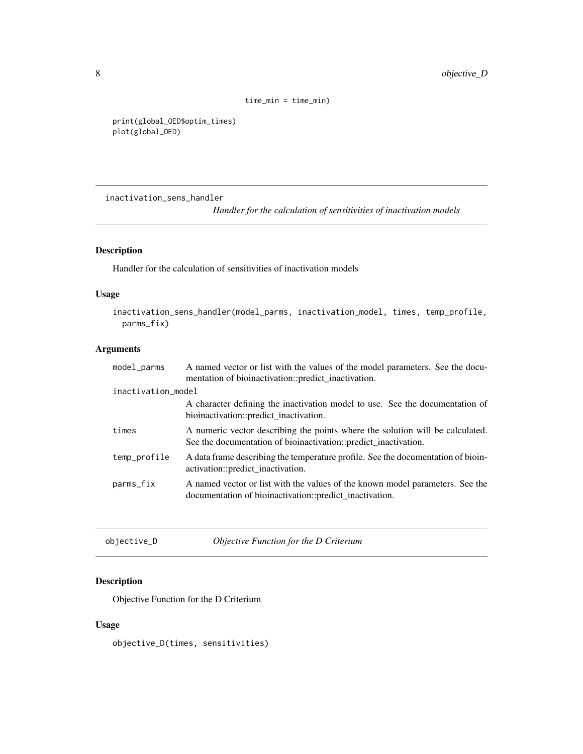```
time_min = time_min)
```

```
print(global_OED$optim_times)
plot(global_OED)
```
inactivation\_sens\_handler

*Handler for the calculation of sensitivities of inactivation models*

### Description

Handler for the calculation of sensitivities of inactivation models

# Usage

```
inactivation_sens_handler(model_parms, inactivation_model, times, temp_profile,
 parms_fix)
```
## Arguments

| $model$ parms      | A named vector or list with the values of the model parameters. See the docu-<br>mentation of bioinactivation::predict_inactivation.             |
|--------------------|--------------------------------------------------------------------------------------------------------------------------------------------------|
| inactivation_model |                                                                                                                                                  |
|                    | A character defining the inactivation model to use. See the documentation of<br>bioinactivation::predict_inactivation.                           |
| times              | A numeric vector describing the points where the solution will be calculated.<br>See the documentation of bioinactivation::predict_inactivation. |
| temp_profile       | A data frame describing the temperature profile. See the documentation of bioin-<br>activation::predict_inactivation.                            |
| parms_fix          | A named vector or list with the values of the known model parameters. See the<br>documentation of bioinactivation::predict_inactivation.         |
|                    |                                                                                                                                                  |

| objective_D | <i>Objective Function for the D Criterium</i> |
|-------------|-----------------------------------------------|
|-------------|-----------------------------------------------|

# Description

Objective Function for the D Criterium

#### Usage

objective\_D(times, sensitivities)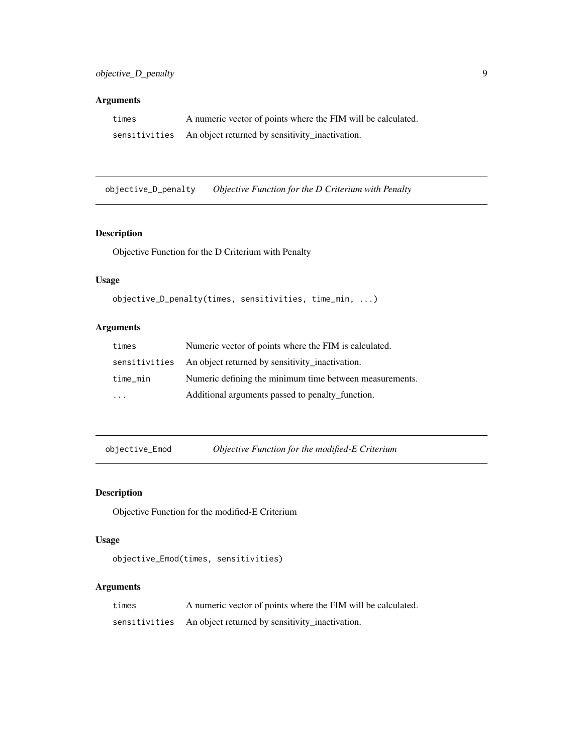# <span id="page-8-0"></span>Arguments

| times | A numeric vector of points where the FIM will be calculated.  |
|-------|---------------------------------------------------------------|
|       | sensitivities An object returned by sensitivity_inactivation. |

objective\_D\_penalty *Objective Function for the D Criterium with Penalty*

# Description

Objective Function for the D Criterium with Penalty

# Usage

```
objective_D_penalty(times, sensitivities, time_min, ...)
```
# Arguments

| times                   | Numeric vector of points where the FIM is calculated.         |
|-------------------------|---------------------------------------------------------------|
|                         | sensitivities An object returned by sensitivity_inactivation. |
| time min                | Numeric defining the minimum time between measurements.       |
| $\cdot$ $\cdot$ $\cdot$ | Additional arguments passed to penalty function.              |

objective\_Emod *Objective Function for the modified-E Criterium*

# Description

Objective Function for the modified-E Criterium

#### Usage

```
objective_Emod(times, sensitivities)
```

| times | A numeric vector of points where the FIM will be calculated.  |
|-------|---------------------------------------------------------------|
|       | sensitivities An object returned by sensitivity_inactivation. |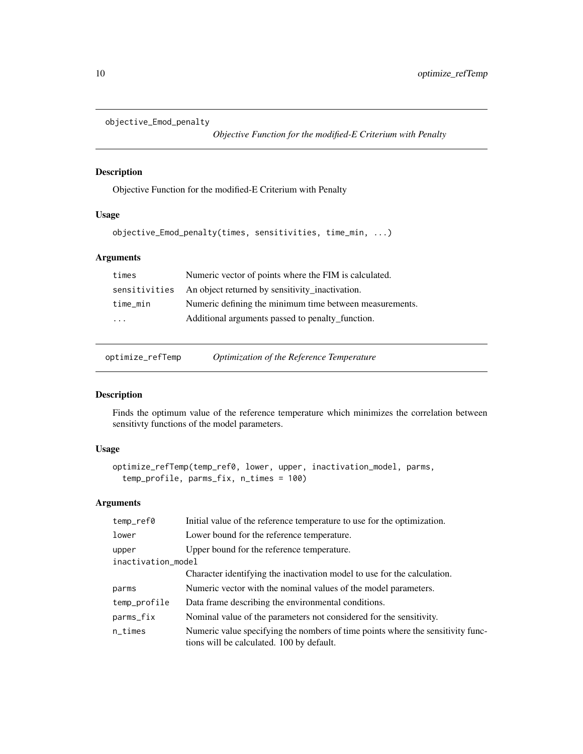```
objective_Emod_penalty
```
*Objective Function for the modified-E Criterium with Penalty*

### Description

Objective Function for the modified-E Criterium with Penalty

### Usage

```
objective_Emod_penalty(times, sensitivities, time_min, ...)
```
# Arguments

| times                   | Numeric vector of points where the FIM is calculated.   |
|-------------------------|---------------------------------------------------------|
| sensitivities           | An object returned by sensitivity_inactivation.         |
| time_min                | Numeric defining the minimum time between measurements. |
| $\cdot$ $\cdot$ $\cdot$ | Additional arguments passed to penalty_function.        |
|                         |                                                         |

optimize\_refTemp *Optimization of the Reference Temperature*

#### Description

Finds the optimum value of the reference temperature which minimizes the correlation between sensitivty functions of the model parameters.

#### Usage

```
optimize_refTemp(temp_ref0, lower, upper, inactivation_model, parms,
  temp_profile, parms_fix, n_times = 100)
```

| temp_ref0          | Initial value of the reference temperature to use for the optimization.                                                      |  |
|--------------------|------------------------------------------------------------------------------------------------------------------------------|--|
| lower              | Lower bound for the reference temperature.                                                                                   |  |
| upper              | Upper bound for the reference temperature.                                                                                   |  |
| inactivation_model |                                                                                                                              |  |
|                    | Character identifying the inactivation model to use for the calculation.                                                     |  |
| parms              | Numeric vector with the nominal values of the model parameters.                                                              |  |
| temp_profile       | Data frame describing the environmental conditions.                                                                          |  |
| parms_fix          | Nominal value of the parameters not considered for the sensitivity.                                                          |  |
| $n$ _times         | Numeric value specifying the nombers of time points where the sensitivity func-<br>tions will be calculated. 100 by default. |  |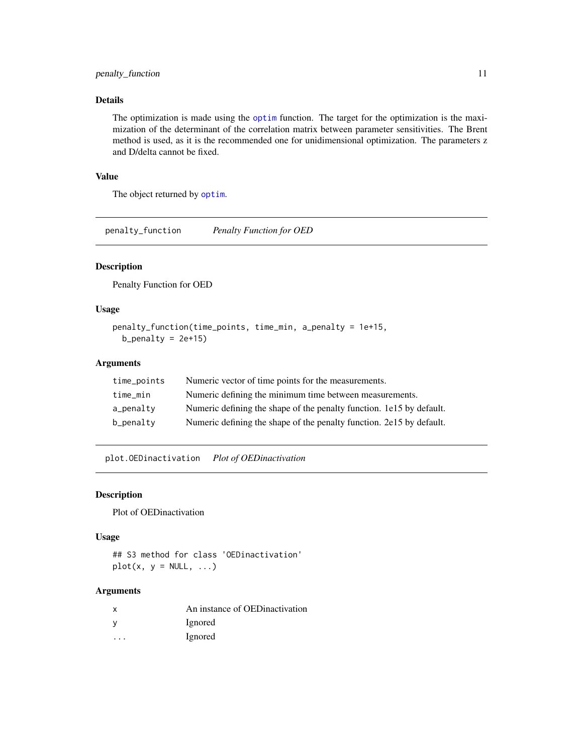# <span id="page-10-0"></span>Details

The optimization is made using the [optim](#page-0-0) function. The target for the optimization is the maximization of the determinant of the correlation matrix between parameter sensitivities. The Brent method is used, as it is the recommended one for unidimensional optimization. The parameters z and D/delta cannot be fixed.

### Value

The object returned by [optim](#page-0-0).

penalty\_function *Penalty Function for OED*

## Description

Penalty Function for OED

#### Usage

```
penalty_function(time_points, time_min, a_penalty = 1e+15,
 b_penalty = 2e+15)
```
#### Arguments

| time_points | Numeric vector of time points for the measurements.                  |
|-------------|----------------------------------------------------------------------|
| time min    | Numeric defining the minimum time between measurements.              |
| a_penalty   | Numeric defining the shape of the penalty function. 1e15 by default. |
| b_penalty   | Numeric defining the shape of the penalty function. 2e15 by default. |

plot.OEDinactivation *Plot of OEDinactivation*

#### Description

Plot of OEDinactivation

#### Usage

## S3 method for class 'OEDinactivation'  $plot(x, y = NULL, ...)$ 

| x                    | An instance of OEDinactivation |
|----------------------|--------------------------------|
|                      | Ignored                        |
| $\ddot{\phantom{0}}$ | Ignored                        |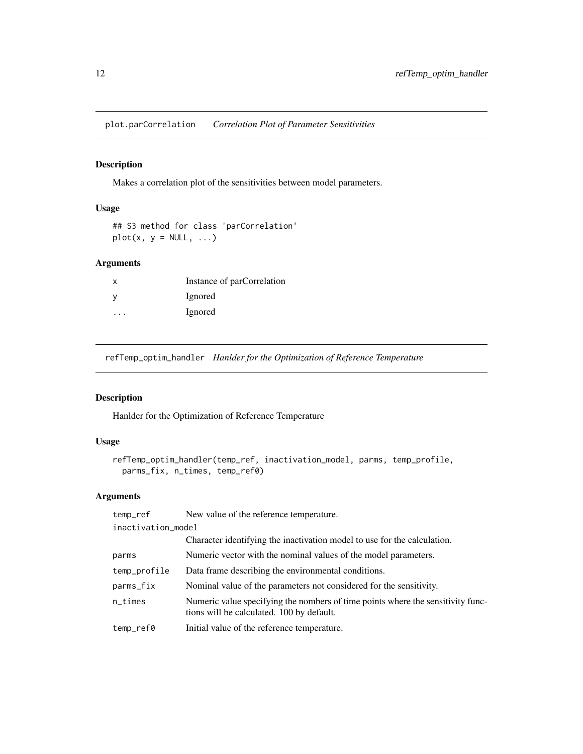<span id="page-11-0"></span>plot.parCorrelation *Correlation Plot of Parameter Sensitivities*

### Description

Makes a correlation plot of the sensitivities between model parameters.

# Usage

```
## S3 method for class 'parCorrelation'
plot(x, y = NULL, ...)
```
#### Arguments

| x | Instance of parCorrelation |
|---|----------------------------|
|   | Ignored                    |
| . | Ignored                    |

refTemp\_optim\_handler *Hanlder for the Optimization of Reference Temperature*

# Description

Hanlder for the Optimization of Reference Temperature

#### Usage

```
refTemp_optim_handler(temp_ref, inactivation_model, parms, temp_profile,
 parms_fix, n_times, temp_ref0)
```

| temp_ref           | New value of the reference temperature.                                                                                      |  |
|--------------------|------------------------------------------------------------------------------------------------------------------------------|--|
| inactivation_model |                                                                                                                              |  |
|                    | Character identifying the inactivation model to use for the calculation.                                                     |  |
| parms              | Numeric vector with the nominal values of the model parameters.                                                              |  |
| temp_profile       | Data frame describing the environmental conditions.                                                                          |  |
| parms_fix          | Nominal value of the parameters not considered for the sensitivity.                                                          |  |
| $n$ _times         | Numeric value specifying the nombers of time points where the sensitivity func-<br>tions will be calculated. 100 by default. |  |
| temp_ref0          | Initial value of the reference temperature.                                                                                  |  |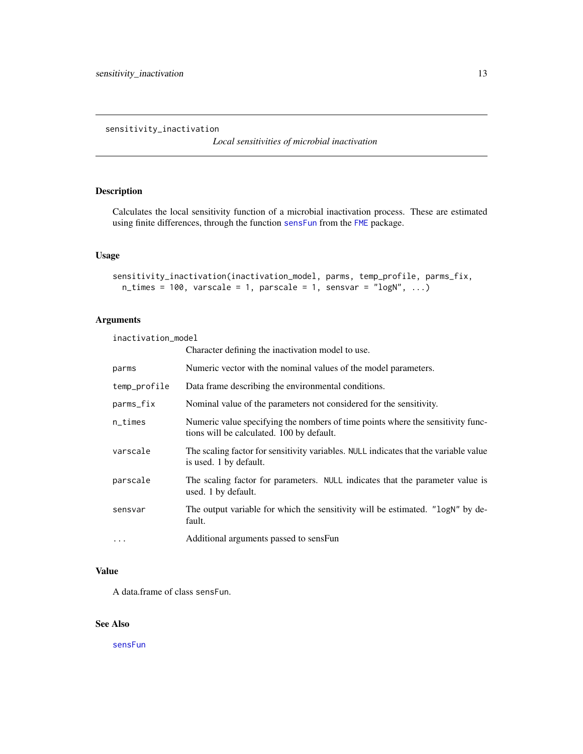*Local sensitivities of microbial inactivation*

### <span id="page-12-1"></span><span id="page-12-0"></span>Description

Calculates the local sensitivity function of a microbial inactivation process. These are estimated using finite differences, through the function [sensFun](#page-0-0) from the [FME](#page-0-0) package.

# Usage

```
sensitivity_inactivation(inactivation_model, parms, temp_profile, parms_fix,
 n_times = 100, varscale = 1, parscale = 1, sensvar = "logN", ...)
```
## Arguments

inactivation\_model

|              | Character defining the inactivation model to use.                                                                            |
|--------------|------------------------------------------------------------------------------------------------------------------------------|
| parms        | Numeric vector with the nominal values of the model parameters.                                                              |
| temp_profile | Data frame describing the environmental conditions.                                                                          |
| parms_fix    | Nominal value of the parameters not considered for the sensitivity.                                                          |
| $n$ _times   | Numeric value specifying the nombers of time points where the sensitivity func-<br>tions will be calculated. 100 by default. |
| varscale     | The scaling factor for sensitivity variables. NULL indicates that the variable value<br>is used. 1 by default.               |
| parscale     | The scaling factor for parameters. NULL indicates that the parameter value is<br>used. 1 by default.                         |
| sensvar      | The output variable for which the sensitivity will be estimated. "logN" by de-<br>fault.                                     |
| $\cdots$     | Additional arguments passed to sensFun                                                                                       |

#### Value

A data.frame of class sensFun.

# See Also

[sensFun](#page-0-0)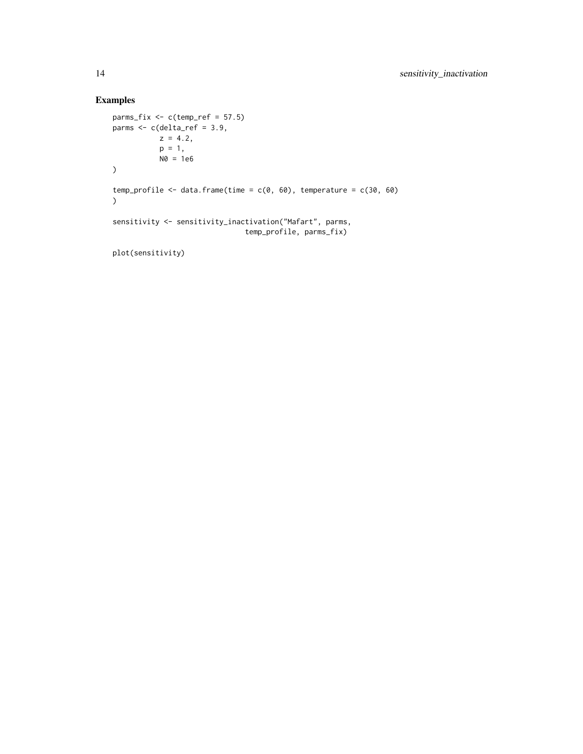# Examples

```
params_fix \leq c(temp_ref = 57.5)parms \leq c(delta_ref = 3.9,
            z = 4.2,
            p = 1,
            N0 = 1e6\lambdatemp_profile <- data.frame(time = c(\emptyset, 6\emptyset), temperature = c(3\emptyset, 6\emptyset)\lambdasensitivity <- sensitivity_inactivation("Mafart", parms,
                                    temp_profile, parms_fix)
```
plot(sensitivity)